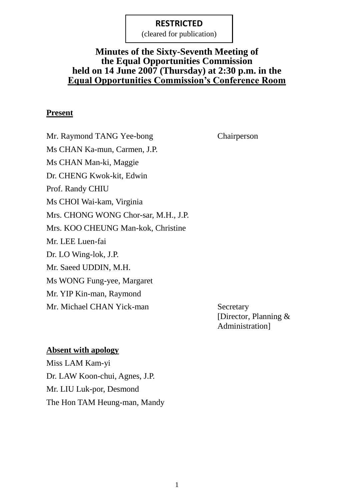(cleared for publication)

# **Minutes of the Sixty-Seventh Meeting of the Equal Opportunities Commission held on 14 June 2007 (Thursday) at 2:30 p.m. in the Equal Opportunities Commission's Conference Room**

#### **Present**

Mr. Raymond TANG Yee-bong Chairperson Ms CHAN Ka-mun, Carmen, J.P. Ms CHAN Man-ki, Maggie Dr. CHENG Kwok-kit, Edwin Prof. Randy CHIU Ms CHOI Wai-kam, Virginia Mrs. CHONG WONG Chor-sar, M.H., J.P. Mrs. KOO CHEUNG Man-kok, Christine Mr. LEE Luen-fai Dr. LO Wing-lok, J.P. Mr. Saeed UDDIN, M.H. Ms WONG Fung-yee, Margaret Mr. YIP Kin-man, Raymond Mr. Michael CHAN Yick-man Secretary

[Director, Planning & Administration]

#### **Absent with apology**

Miss LAM Kam-yi Dr. LAW Koon-chui, Agnes, J.P. Mr. LIU Luk-por, Desmond The Hon TAM Heung-man, Mandy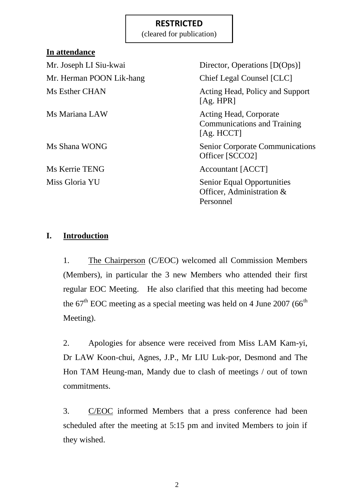(cleared for publication)

## **In attendance**

Mr. Herman POON Lik-hang Chief Legal Counsel [CLC]

Mr. Joseph LI Siu-kwai Director, Operations [D(Ops)] Ms Esther CHAN Acting Head, Policy and Support [Ag. HPR] Ms Mariana LAW Acting Head, Corporate Communications and Training [Ag. HCCT] Ms Shana WONG Senior Corporate Communications Officer [SCCO2]

Ms Kerrie TENG Accountant [ACCT]

Miss Gloria YU Senior Equal Opportunities Officer, Administration & Personnel

### **I. Introduction**

1. The Chairperson (C/EOC) welcomed all Commission Members (Members), in particular the 3 new Members who attended their first regular EOC Meeting. He also clarified that this meeting had become the  $67<sup>th</sup>$  EOC meeting as a special meeting was held on 4 June 2007 ( $66<sup>th</sup>$ ) Meeting).

2. Apologies for absence were received from Miss LAM Kam-yi, Dr LAW Koon-chui, Agnes, J.P., Mr LIU Luk-por, Desmond and The Hon TAM Heung-man, Mandy due to clash of meetings / out of town commitments.

3. C/EOC informed Members that a press conference had been scheduled after the meeting at 5:15 pm and invited Members to join if they wished.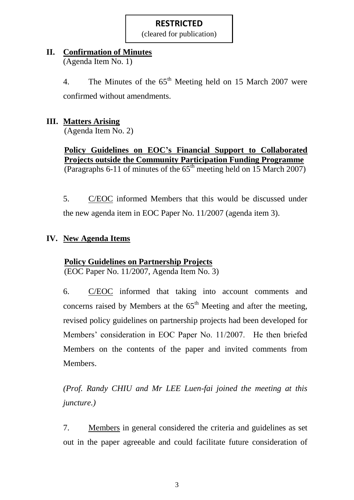(cleared for publication)

## **II. Confirmation of Minutes**

(Agenda Item No. 1)

4. The Minutes of the  $65<sup>th</sup>$  Meeting held on 15 March 2007 were

confirmed without amendments.

# **III. Matters Arising**

(Agenda Item No. 2)

**Policy Guidelines on EOC's Financial Support to Collaborated Projects outside the Community Participation Funding Programme** (Paragraphs 6-11 of minutes of the  $65<sup>th</sup>$  meeting held on 15 March 2007)

5. C/EOC informed Members that this would be discussed under the new agenda item in EOC Paper No. 11/2007 (agenda item 3).

# **IV. New Agenda Items**

# **Policy Guidelines on Partnership Projects**

(EOC Paper No. 11/2007, Agenda Item No. 3)

6. C/EOC informed that taking into account comments and concerns raised by Members at the  $65<sup>th</sup>$  Meeting and after the meeting, revised policy guidelines on partnership projects had been developed for Members' consideration in EOC Paper No. 11/2007. He then briefed Members on the contents of the paper and invited comments from Members.

*(Prof. Randy CHIU and Mr LEE Luen-fai joined the meeting at this juncture.)*

7. Members in general considered the criteria and guidelines as set out in the paper agreeable and could facilitate future consideration of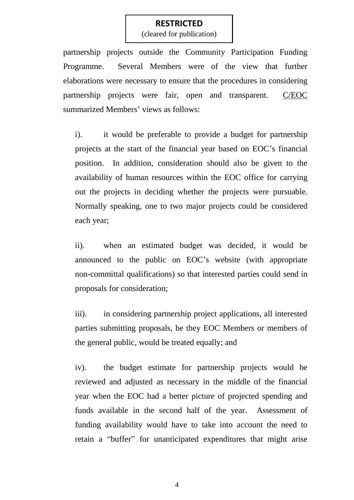(cleared for publication)

partnership projects outside the Community Participation Funding Programme. Several Members were of the view that further elaborations were necessary to ensure that the procedures in considering partnership projects were fair, open and transparent. C/EOC summarized Members' views as follows:

i). it would be preferable to provide a budget for partnership projects at the start of the financial year based on EOC's financial position. In addition, consideration should also be given to the availability of human resources within the EOC office for carrying out the projects in deciding whether the projects were pursuable. Normally speaking, one to two major projects could be considered each year;

ii). when an estimated budget was decided, it would be announced to the public on EOC's website (with appropriate non-committal qualifications) so that interested parties could send in proposals for consideration;

iii). in considering partnership project applications, all interested parties submitting proposals, be they EOC Members or members of the general public, would be treated equally; and

iv). the budget estimate for partnership projects would be reviewed and adjusted as necessary in the middle of the financial year when the EOC had a better picture of projected spending and funds available in the second half of the year. Assessment of funding availability would have to take into account the need to retain a "buffer" for unanticipated expenditures that might arise

4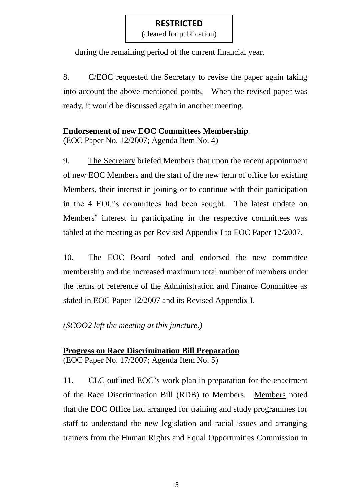(cleared for publication)

during the remaining period of the current financial year.

8. C/EOC requested the Secretary to revise the paper again taking into account the above-mentioned points. When the revised paper was ready, it would be discussed again in another meeting.

# **Endorsement of new EOC Committees Membership**

(EOC Paper No. 12/2007; Agenda Item No. 4)

9. The Secretary briefed Members that upon the recent appointment of new EOC Members and the start of the new term of office for existing Members, their interest in joining or to continue with their participation in the 4 EOC's committees had been sought. The latest update on Members' interest in participating in the respective committees was tabled at the meeting as per Revised Appendix I to EOC Paper 12/2007.

10. The EOC Board noted and endorsed the new committee membership and the increased maximum total number of members under the terms of reference of the Administration and Finance Committee as stated in EOC Paper 12/2007 and its Revised Appendix I.

# *(SCOO2 left the meeting at this juncture.)*

### **Progress on Race Discrimination Bill Preparation** (EOC Paper No. 17/2007; Agenda Item No. 5)

11. CLC outlined EOC's work plan in preparation for the enactment of the Race Discrimination Bill (RDB) to Members. Members noted that the EOC Office had arranged for training and study programmes for staff to understand the new legislation and racial issues and arranging trainers from the Human Rights and Equal Opportunities Commission in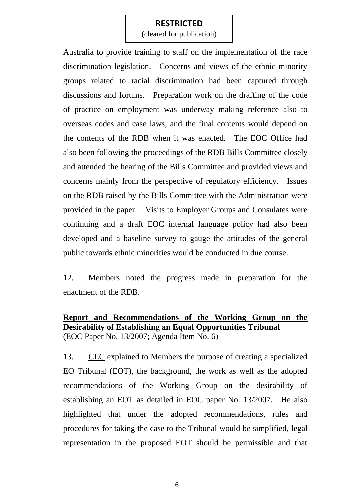(cleared for publication)

Australia to provide training to staff on the implementation of the race discrimination legislation. Concerns and views of the ethnic minority groups related to racial discrimination had been captured through discussions and forums. Preparation work on the drafting of the code of practice on employment was underway making reference also to overseas codes and case laws, and the final contents would depend on the contents of the RDB when it was enacted. The EOC Office had also been following the proceedings of the RDB Bills Committee closely and attended the hearing of the Bills Committee and provided views and concerns mainly from the perspective of regulatory efficiency. Issues on the RDB raised by the Bills Committee with the Administration were provided in the paper. Visits to Employer Groups and Consulates were continuing and a draft EOC internal language policy had also been developed and a baseline survey to gauge the attitudes of the general public towards ethnic minorities would be conducted in due course.

12. Members noted the progress made in preparation for the enactment of the RDB.

### **Report and Recommendations of the Working Group on the Desirability of Establishing an Equal Opportunities Tribunal** (EOC Paper No. 13/2007; Agenda Item No. 6)

13. CLC explained to Members the purpose of creating a specialized EO Tribunal (EOT), the background, the work as well as the adopted recommendations of the Working Group on the desirability of establishing an EOT as detailed in EOC paper No. 13/2007. He also highlighted that under the adopted recommendations, rules and procedures for taking the case to the Tribunal would be simplified, legal representation in the proposed EOT should be permissible and that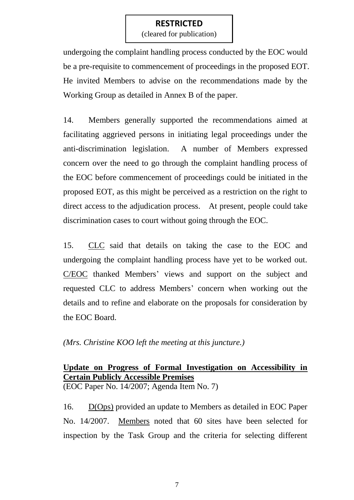(cleared for publication)

undergoing the complaint handling process conducted by the EOC would be a pre-requisite to commencement of proceedings in the proposed EOT. He invited Members to advise on the recommendations made by the Working Group as detailed in Annex B of the paper.

14. Members generally supported the recommendations aimed at facilitating aggrieved persons in initiating legal proceedings under the anti-discrimination legislation. A number of Members expressed concern over the need to go through the complaint handling process of the EOC before commencement of proceedings could be initiated in the proposed EOT, as this might be perceived as a restriction on the right to direct access to the adjudication process. At present, people could take discrimination cases to court without going through the EOC.

15. CLC said that details on taking the case to the EOC and undergoing the complaint handling process have yet to be worked out. C/EOC thanked Members' views and support on the subject and requested CLC to address Members' concern when working out the details and to refine and elaborate on the proposals for consideration by the EOC Board.

*(Mrs. Christine KOO left the meeting at this juncture.)*

# **Update on Progress of Formal Investigation on Accessibility in Certain Publicly Accessible Premises**

(EOC Paper No. 14/2007; Agenda Item No. 7)

16. D(Ops) provided an update to Members as detailed in EOC Paper No. 14/2007. Members noted that 60 sites have been selected for inspection by the Task Group and the criteria for selecting different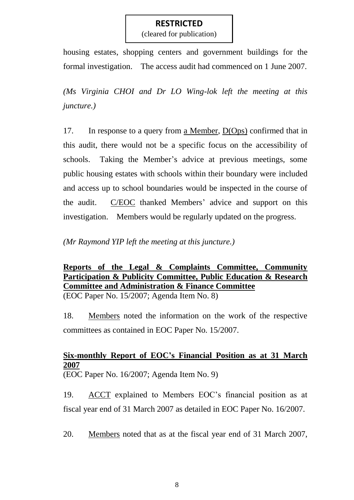(cleared for publication)

housing estates, shopping centers and government buildings for the formal investigation. The access audit had commenced on 1 June 2007.

*(Ms Virginia CHOI and Dr LO Wing-lok left the meeting at this juncture.)*

17. In response to a query from a Member, D(Ops) confirmed that in this audit, there would not be a specific focus on the accessibility of schools. Taking the Member's advice at previous meetings, some public housing estates with schools within their boundary were included and access up to school boundaries would be inspected in the course of the audit. C/EOC thanked Members' advice and support on this investigation. Members would be regularly updated on the progress.

*(Mr Raymond YIP left the meeting at this juncture.)*

**Reports of the Legal & Complaints Committee, Community Participation & Publicity Committee, Public Education & Research Committee and Administration & Finance Committee** (EOC Paper No. 15/2007; Agenda Item No. 8)

18. Members noted the information on the work of the respective committees as contained in EOC Paper No. 15/2007.

# **Six-monthly Report of EOC's Financial Position as at 31 March 2007**

(EOC Paper No. 16/2007; Agenda Item No. 9)

19. ACCT explained to Members EOC's financial position as at fiscal year end of 31 March 2007 as detailed in EOC Paper No. 16/2007.

20. Members noted that as at the fiscal year end of 31 March 2007,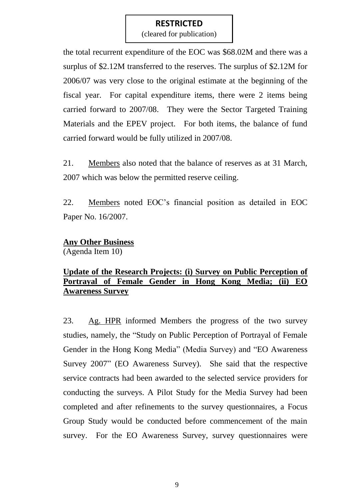(cleared for publication)

the total recurrent expenditure of the EOC was \$68.02M and there was a surplus of \$2.12M transferred to the reserves. The surplus of \$2.12M for 2006/07 was very close to the original estimate at the beginning of the fiscal year. For capital expenditure items, there were 2 items being carried forward to 2007/08. They were the Sector Targeted Training Materials and the EPEV project. For both items, the balance of fund carried forward would be fully utilized in 2007/08.

21. Members also noted that the balance of reserves as at 31 March, 2007 which was below the permitted reserve ceiling.

22. Members noted EOC's financial position as detailed in EOC Paper No. 16/2007.

#### **Any Other Business**

(Agenda Item 10)

## **Update of the Research Projects: (i) Survey on Public Perception of Portrayal of Female Gender in Hong Kong Media; (ii) EO Awareness Survey**

23. Ag. HPR informed Members the progress of the two survey studies, namely, the "Study on Public Perception of Portrayal of Female Gender in the Hong Kong Media" (Media Survey) and "EO Awareness Survey 2007" (EO Awareness Survey). She said that the respective service contracts had been awarded to the selected service providers for conducting the surveys. A Pilot Study for the Media Survey had been completed and after refinements to the survey questionnaires, a Focus Group Study would be conducted before commencement of the main survey. For the EO Awareness Survey, survey questionnaires were